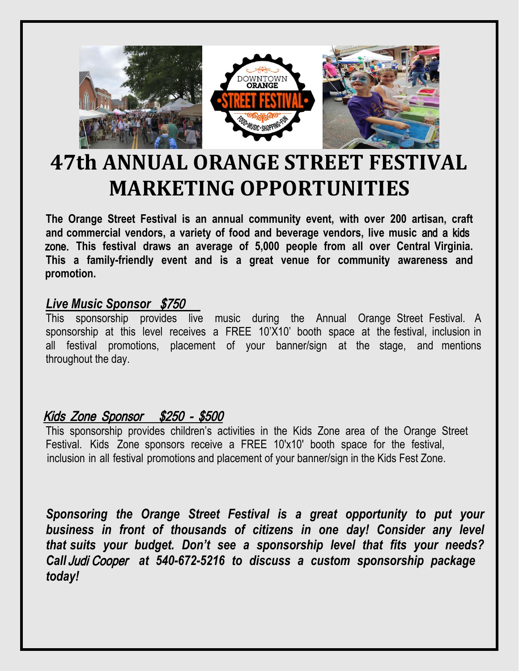

## **47th ANNUAL ORANGE STREET FESTIVAL MARKETING OPPORTUNITIES**

**The Orange Street Festival is an annual community event, with over 200 artisan, craft and commercial vendors, a variety of food and beverage vendors, live music** and a kids zone. **This festival draws an average of 5,000 people from all over Central Virginia. This a family-friendly event and is a great venue for community awareness and promotion.** 

## *Live Music Sponsor* \$750

This sponsorship provides live music during the Annual Orange Street Festival. A sponsorship at this level receives a FREE 10'X10' booth space at the festival, inclusion in all festival promotions, placement of your banner/sign at the stage, and mentions throughout the day.

## Kids Zone Sponsor \$250 - \$500

This sponsorship provides children's activities in the Kids Zone area of the Orange Street Festival. Kids Zone sponsors receive a FREE 10'x10' booth space for the festival, inclusion in all festival promotions and placement of your banner/sign in the Kids Fest Zone.

*Sponsoring the Orange Street Festival is a great opportunity to put your business in front of thousands of citizens in one day! Consider any level that suits your budget. Don't see a sponsorship level that fits your needs? Call* Judi Cooper *at 540-672-5216 to discuss a custom sponsorship package today!*